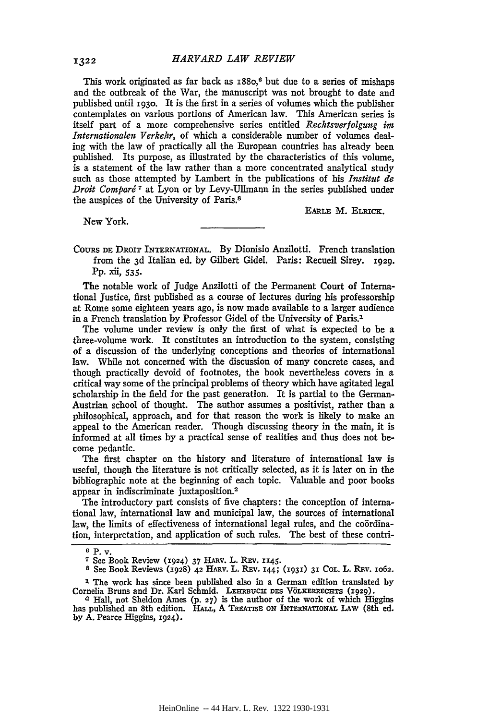This work originated as far back as  $1880$ ,<sup>6</sup> but due to a series of mishaps and the outbreak of the War, the manuscript was not brought to date and published until **1930.** It is the first in a series of volumes which the publisher contemplates on various portions of American law. This American series is itself part of a more comprehensive series entitled *Rechtsverfolgung im Internationalen Verkehr,* of which a considerable number of volumes dealing with the law of practically all the European countries has already been published. Its purpose, as illustrated by the characteristics of this volume, is a statement of the law rather than a more concentrated analytical study such as those attempted by Lambert in the publications of his *Institut de Droit Comparé*<sup>7</sup> at Lyon or by Levy-Ullmann in the series published under the auspices of the University of Paris.8

New York.

**EARLE** M. ELRICK.

CouRs **DE** DROIT INTERNATIONAL. By Dionisio Anzilotti. French translation from the 3d Italian ed. by Gilbert Gidel. Paris: Recueil Sirey. 1929. Pp. xii, *535.*

The notable work of Judge Anzilotti of the Permanent Court of International Justice, first published as a course of lectures during his professorship at Rome some eighteen years ago, is now made available to a larger audience in a French translation by Professor Gidel of the University of Paris.<sup>1</sup>

The volume under review is only the first of what is expected to be a three-volume work. It constitutes an introduction to the system, consisting of a discussion of the underlying conceptions and theories of international law. While not concerned with the discussion of many concrete cases, and though practically devoid of footnotes, the book nevertheless covers in a critical way some of the principal problems of theory which have agitated legal scholarship in the field for the past generation. It is partial to the German-Austrian school of thought. The author assumes a positivist, rather than a philosophical, approach, and for that reason the work is likely to make an appeal to the American reader. Though discussing theory in the main, it is informed at all times by a practical sense of realities and thus does not become pedantic.

The first chapter on the history and literature of international law is useful, though the literature is not critically selected, as it is later on in the bibliographic note at the beginning of each topic. Valuable and poor books appear in indiscriminate juxtaposition.<sup>2</sup>

The introductory part consists of five chapters: the conception of international law, international law and municipal law, the sources of international law, the limits of effectiveness of international legal rules, and the coördination, interpretation, and application of such rules. The best of these contri-

**<sup>6</sup> P. v.**

**<sup>7</sup>**See Book Review **(1924)** 37 **HARV.** L. REv. **1145.**

**s** See Book Reviews **(1928)** 42 HARv. L. REv. **144; (1931) 31 COL.** L. RE.v. **io62.**

*<sup>1</sup>* The work has since been published also in a German edition translated **by** Cornelia Bruns and Dr. Karl Schmid. LEERBUCH DES VÖLKERRECHTS (1929).<br><sup>2</sup> Hall, not Sheldon Ames (p. 27) is the author of the work of which Higgins

has published an 8th edition. HALL, **A TREATISE ON INTERNATIONAL LAW** (8th **ed. by A.** Pearce Higgins, **1924).**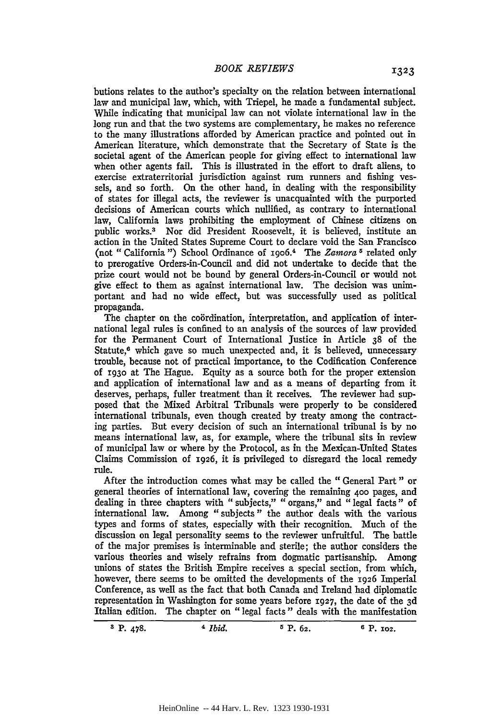butions relates to the author's specialty on the relation between international law and municipal law, which, with Triepel, he made a fundamental subject. While indicating that municipal law can not violate international law in the long run and that the two systems are complementary, he makes no reference to the many illustrations afforded by American practice and pointed out in American literature, which demonstrate that the Secretary of State is the societal agent of the American people for giving effect to international law when other agents fail. This is illustrated in the effort to draft aliens, to exercise extraterritorial jurisdiction against rum runners and fishing vessels, and so forth. On the other hand, in dealing with the responsibility of states for illegal acts, the reviewer is unacquainted with the purported decisions of American courts which nullified, as contrary to international law, California laws prohibiting the employment of Chinese citizens on public works.<sup>3</sup> Nor did President Roosevelt, it is believed, institute an action in the United States Supreme Court to declare void the San Francisco (not "California") School Ordinance of 1906.<sup>4</sup> The *Zamora*<sup>5</sup> related only to prerogative Orders-in-Council and did not undertake to decide that the prize court would not be bound by general Orders-in-Council or would not give effect to them as against international law. The decision was unimportant and had no wide effect, but was successfully used as political propaganda.

The chapter on the coördination, interpretation, and application of international legal rules is confined to an analysis of the sources of law provided for the Permanent Court of International Justice in Article 38 of the Statute, $6$  which gave so much unexpected and, it is believed, unnecessary trouble, because not of practical importance, to the Codification Conference of **i93o** at The Hague. Equity as a source both for the proper extension and application of international law and as a means of departing from it deserves, perhaps, fuller treatment than it receives. The reviewer had supposed that the Mixed Arbitral Tribunals were properly to be considered international tribunals, even though created by treaty among the contracting parties. But every decision of such an international tribunal is by no means international law, as, for example, where the tribunal sits in review of municipal law or where by the Protocol, as in the Mexican-United States Claims Commission of **1926,** it is privileged to disregard the local remedy rule.

After the introduction comes what may be called the "General Part" or general theories of international law, covering the remaining **400** pages, and dealing in three chapters with "subjects," "organs," and "legal facts" of international law. Among "subjects" the author deals with the various types and forms of states, especially with their recognition. Much of the discussion on legal personality seems to the reviewer unfruitful. The battle of the major premises is interminable and sterile; the author considers the various theories and wisely refrains from dogmatic partisanship. Among unions of states the British Empire receives a special section, from which, however, there seems to be omitted the developments of the 1926 Imperial Conference, as well as the fact that both Canada and Ireland had diplomatic representation in Washington for some years before **1927,** the date of the 3d Italian edition. The chapter on "legal facts" deals with the manifestation

**a** P. 478. *<sup>4</sup>Ibid.* **5** *P. 62. 6 P. 102.*